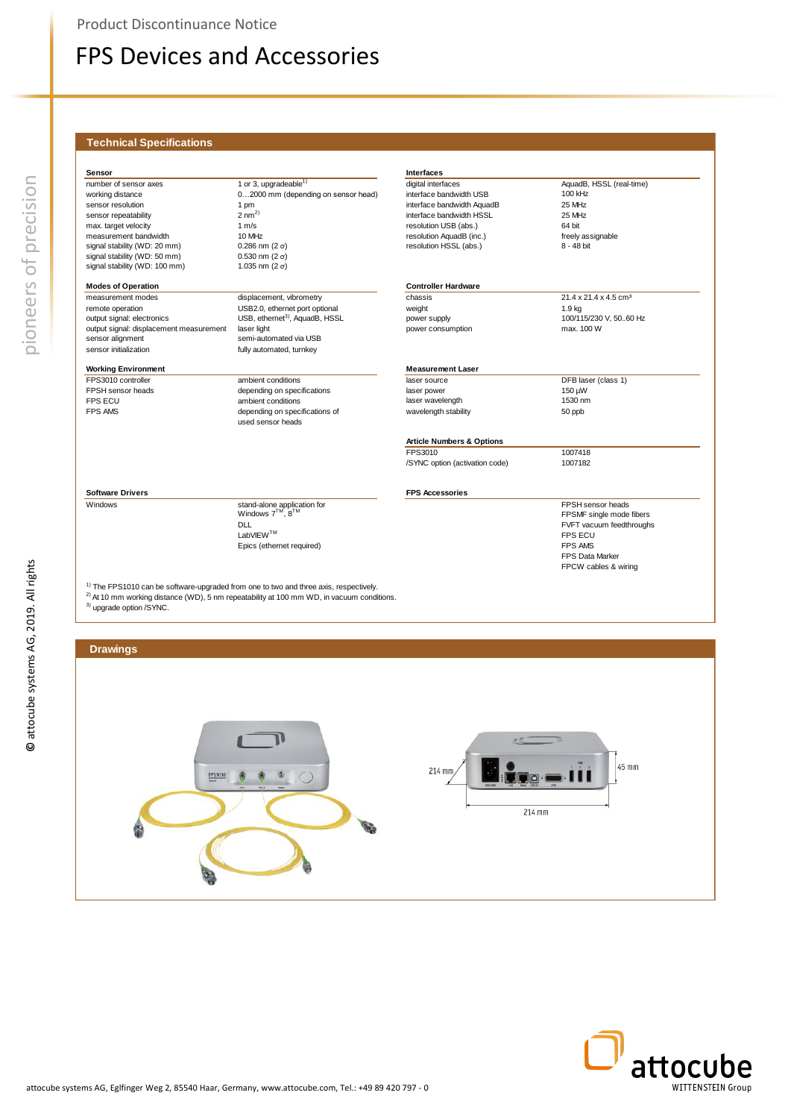#### **Technical Specifications**

| Sensor                                  |                                                     | <b>Interfaces</b>                    |                                   |
|-----------------------------------------|-----------------------------------------------------|--------------------------------------|-----------------------------------|
| number of sensor axes                   | 1 or 3, upgradeable $1$                             | digital interfaces                   | AquadB, HSSL (real-time)          |
| working distance                        | 02000 mm (depending on sensor head)                 | interface bandwidth USB              | 100 kHz                           |
| sensor resolution                       | 1 pm                                                | interface bandwidth AquadB           | 25 MHz                            |
| sensor repeatability                    | $2 \text{ nm}^{2}$                                  | interface bandwidth HSSL             | 25 MHz                            |
| max. target velocity                    | 1 m/s                                               | resolution USB (abs.)                | 64 bit                            |
| measurement bandwidth                   | 10 MHz                                              | resolution AquadB (inc.)             | freely assignable                 |
| signal stability (WD: 20 mm)            | $0.286$ nm $(2 \sigma)$                             | resolution HSSL (abs.)               | 8 - 48 bit                        |
| signal stability (WD: 50 mm)            | $0.530$ nm $(2 \sigma)$                             |                                      |                                   |
| signal stability (WD: 100 mm)           | 1.035 nm $(2 \sigma)$                               |                                      |                                   |
| <b>Modes of Operation</b>               |                                                     | <b>Controller Hardware</b>           |                                   |
| measurement modes                       | displacement, vibrometry                            | chassis                              | 21.4 x 21.4 x 4.5 cm <sup>3</sup> |
| remote operation                        | USB2.0, ethernet port optional                      | weight                               | 1.9 <sub>kg</sub>                 |
| output signal: electronics              | USB, ethernet <sup>3)</sup> , AquadB, HSSL          | power supply                         | 100/115/230 V, 5060 Hz            |
| output signal: displacement measurement | laser light                                         | power consumption                    | max. 100 W                        |
| sensor alignment                        | semi-automated via USB                              |                                      |                                   |
| sensor initialization                   | fully automated, turnkey                            |                                      |                                   |
| <b>Working Environment</b>              |                                                     | <b>Measurement Laser</b>             |                                   |
| FPS3010 controller                      | ambient conditions                                  | laser source                         | DFB laser (class 1)               |
| FPSH sensor heads                       | depending on specifications                         | laser power                          | 150 µW                            |
| <b>FPS ECU</b>                          | ambient conditions                                  | laser wavelength                     | 1530 nm                           |
| <b>FPS AMS</b>                          | depending on specifications of<br>used sensor heads | wavelength stability                 | 50 ppb                            |
|                                         |                                                     | <b>Article Numbers &amp; Options</b> |                                   |
|                                         |                                                     | FPS3010                              | 1007418                           |
|                                         |                                                     | /SYNC option (activation code)       | 1007182                           |
| <b>Software Drivers</b>                 |                                                     | <b>FPS Accessories</b>               |                                   |
| Windows                                 | stand-alone application for                         |                                      | FPSH sensor heads                 |
|                                         | Windows 7 <sup>™</sup> , 8 <sup>™</sup>             |                                      | FPSMF single mode fibers          |
|                                         | <b>DLL</b>                                          |                                      | FVFT vacuum feedthroughs          |
|                                         | LabVIEW™                                            |                                      | <b>FPS ECU</b>                    |
|                                         | Epics (ethernet required)                           |                                      | <b>FPS AMS</b>                    |
|                                         |                                                     |                                      | <b>FPS Data Marker</b>            |
|                                         |                                                     |                                      | FPCW cables & wiring              |



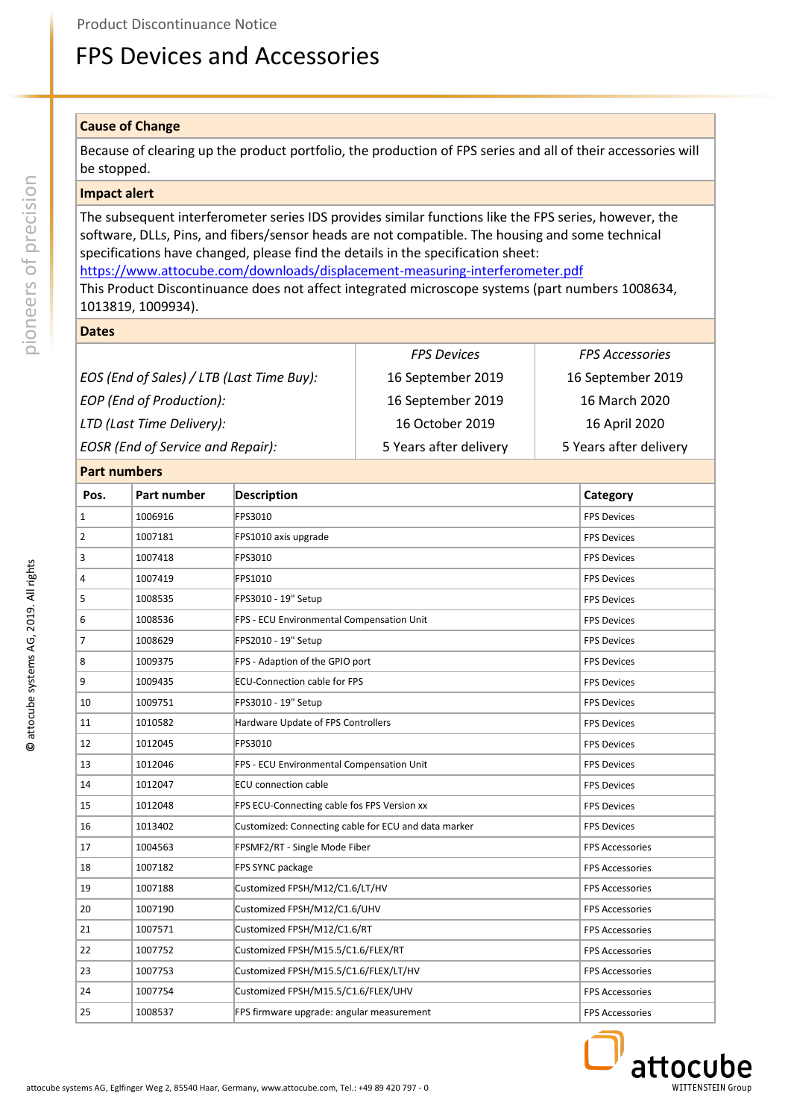### **Cause of Change**

Because of clearing up the product portfolio, the production of FPS series and all of their accessories will be stopped.

### **Impact alert**

The subsequent interferometer series IDS provides similar functions like the FPS series, however, the software, DLLs, Pins, and fibers/sensor heads are not compatible. The housing and some technical specifications have changed, please find the details in the specification sheet: <https://www.attocube.com/downloads/displacement-measuring-interferometer.pdf>

This Product Discontinuance does not affect integrated microscope systems (part numbers 1008634,

1013819, 1009934).

**Dates**

|                                           | <b>FPS Devices</b>     | <b>FPS Accessories</b> |
|-------------------------------------------|------------------------|------------------------|
| EOS (End of Sales) / LTB (Last Time Buy): | 16 September 2019      | 16 September 2019      |
| EOP (End of Production):                  | 16 September 2019      | 16 March 2020          |
| LTD (Last Time Delivery):                 | 16 October 2019        | 16 April 2020          |
| <b>EOSR</b> (End of Service and Repair):  | 5 Years after delivery | 5 Years after delivery |

### **Part numbers**

| Part numbers   |             |                                                      |                        |
|----------------|-------------|------------------------------------------------------|------------------------|
| Pos.           | Part number | <b>Description</b>                                   | Category               |
| $\mathbf{1}$   | 1006916     | FPS3010                                              | <b>FPS Devices</b>     |
| $\overline{2}$ | 1007181     | FPS1010 axis upgrade                                 | <b>FPS Devices</b>     |
| 3              | 1007418     | FPS3010                                              | <b>FPS Devices</b>     |
| 4              | 1007419     | FPS1010                                              | <b>FPS Devices</b>     |
| 5              | 1008535     | FPS3010 - 19" Setup                                  | <b>FPS Devices</b>     |
| 6              | 1008536     | FPS - ECU Environmental Compensation Unit            | <b>FPS Devices</b>     |
| 7              | 1008629     | FPS2010 - 19" Setup                                  | <b>FPS Devices</b>     |
| 8              | 1009375     | FPS - Adaption of the GPIO port                      | <b>FPS Devices</b>     |
| 9              | 1009435     | <b>ECU-Connection cable for FPS</b>                  | <b>FPS Devices</b>     |
| 10             | 1009751     | FPS3010 - 19" Setup                                  | <b>FPS Devices</b>     |
| 11             | 1010582     | Hardware Update of FPS Controllers                   | <b>FPS Devices</b>     |
| 12             | 1012045     | FPS3010                                              | <b>FPS Devices</b>     |
| 13             | 1012046     | FPS - ECU Environmental Compensation Unit            | <b>FPS Devices</b>     |
| 14             | 1012047     | <b>ECU</b> connection cable                          | <b>FPS Devices</b>     |
| 15             | 1012048     | FPS ECU-Connecting cable fos FPS Version xx          | <b>FPS Devices</b>     |
| 16             | 1013402     | Customized: Connecting cable for ECU and data marker | <b>FPS Devices</b>     |
| 17             | 1004563     | FPSMF2/RT - Single Mode Fiber                        | <b>FPS Accessories</b> |
| 18             | 1007182     | FPS SYNC package                                     | <b>FPS Accessories</b> |
| 19             | 1007188     | Customized FPSH/M12/C1.6/LT/HV                       | <b>FPS Accessories</b> |
| 20             | 1007190     | Customized FPSH/M12/C1.6/UHV                         | <b>FPS Accessories</b> |
| 21             | 1007571     | Customized FPSH/M12/C1.6/RT                          | <b>FPS Accessories</b> |
| 22             | 1007752     | Customized FPSH/M15.5/C1.6/FLEX/RT                   | <b>FPS Accessories</b> |
| 23             | 1007753     | Customized FPSH/M15.5/C1.6/FLEX/LT/HV                | <b>FPS Accessories</b> |
| 24             | 1007754     | Customized FPSH/M15.5/C1.6/FLEX/UHV                  | <b>FPS Accessories</b> |
| 25             | 1008537     | FPS firmware upgrade: angular measurement            | <b>FPS Accessories</b> |



pioneers of precision

pioneers of precision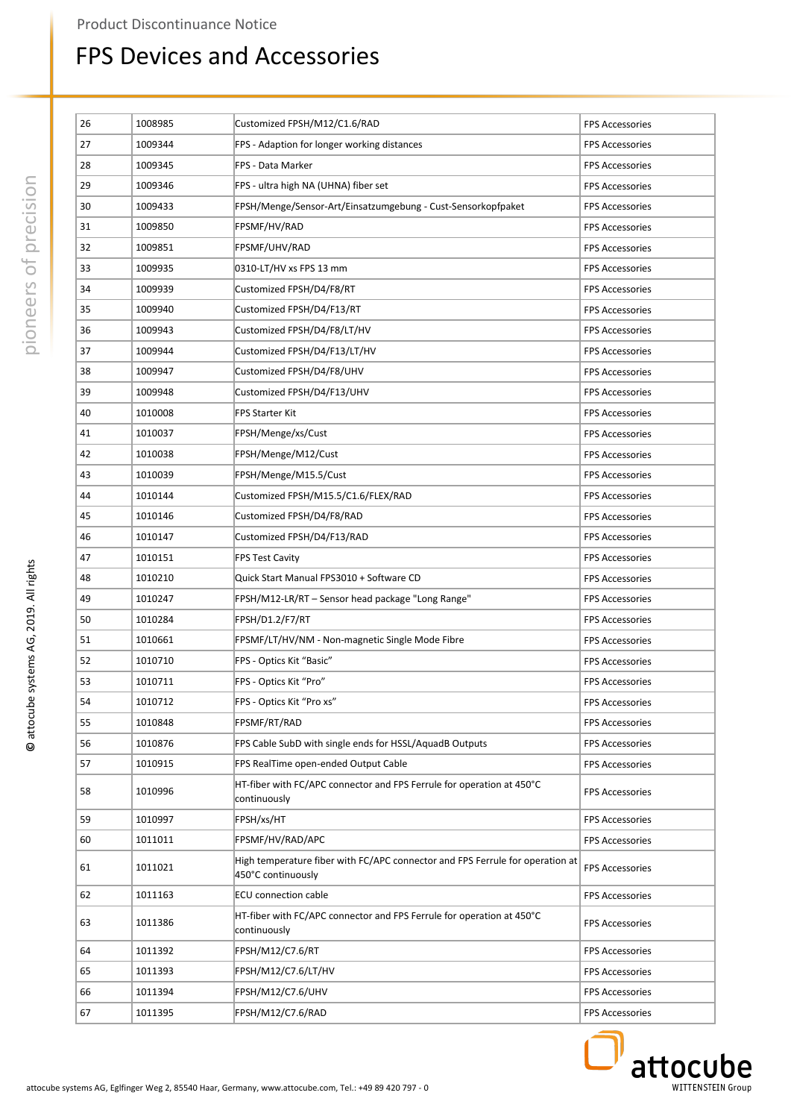| 26 | 1008985 | Customized FPSH/M12/C1.6/RAD                                                                        | <b>FPS Accessories</b> |
|----|---------|-----------------------------------------------------------------------------------------------------|------------------------|
| 27 | 1009344 | FPS - Adaption for longer working distances                                                         | <b>FPS Accessories</b> |
| 28 | 1009345 | FPS - Data Marker                                                                                   | <b>FPS Accessories</b> |
| 29 |         |                                                                                                     |                        |
|    | 1009346 | FPS - ultra high NA (UHNA) fiber set                                                                | <b>FPS Accessories</b> |
| 30 | 1009433 | FPSH/Menge/Sensor-Art/Einsatzumgebung - Cust-Sensorkopfpaket                                        | <b>FPS Accessories</b> |
| 31 | 1009850 | FPSMF/HV/RAD                                                                                        | <b>FPS Accessories</b> |
| 32 | 1009851 | FPSMF/UHV/RAD                                                                                       | <b>FPS Accessories</b> |
| 33 | 1009935 | 0310-LT/HV xs FPS 13 mm                                                                             | <b>FPS Accessories</b> |
| 34 | 1009939 | Customized FPSH/D4/F8/RT                                                                            | <b>FPS Accessories</b> |
| 35 | 1009940 | Customized FPSH/D4/F13/RT                                                                           | <b>FPS Accessories</b> |
| 36 | 1009943 | Customized FPSH/D4/F8/LT/HV                                                                         | <b>FPS Accessories</b> |
| 37 | 1009944 | Customized FPSH/D4/F13/LT/HV                                                                        | <b>FPS Accessories</b> |
| 38 | 1009947 | Customized FPSH/D4/F8/UHV                                                                           | <b>FPS Accessories</b> |
| 39 | 1009948 | Customized FPSH/D4/F13/UHV                                                                          | <b>FPS Accessories</b> |
| 40 | 1010008 | <b>FPS Starter Kit</b>                                                                              | <b>FPS Accessories</b> |
| 41 | 1010037 | FPSH/Menge/xs/Cust                                                                                  | <b>FPS Accessories</b> |
| 42 | 1010038 | FPSH/Menge/M12/Cust                                                                                 | <b>FPS Accessories</b> |
| 43 | 1010039 | FPSH/Menge/M15.5/Cust                                                                               | <b>FPS Accessories</b> |
| 44 | 1010144 | Customized FPSH/M15.5/C1.6/FLEX/RAD                                                                 | <b>FPS Accessories</b> |
| 45 | 1010146 | Customized FPSH/D4/F8/RAD                                                                           | <b>FPS Accessories</b> |
| 46 | 1010147 | Customized FPSH/D4/F13/RAD                                                                          | <b>FPS Accessories</b> |
| 47 | 1010151 | <b>FPS Test Cavity</b>                                                                              | <b>FPS Accessories</b> |
| 48 | 1010210 | Quick Start Manual FPS3010 + Software CD                                                            | <b>FPS Accessories</b> |
| 49 | 1010247 | FPSH/M12-LR/RT - Sensor head package "Long Range"                                                   | <b>FPS Accessories</b> |
| 50 | 1010284 | FPSH/D1.2/F7/RT                                                                                     | <b>FPS Accessories</b> |
| 51 | 1010661 | FPSMF/LT/HV/NM - Non-magnetic Single Mode Fibre                                                     | <b>FPS Accessories</b> |
| 52 | 1010710 | FPS - Optics Kit "Basic"                                                                            | <b>FPS Accessories</b> |
| 53 | 1010711 | FPS - Optics Kit "Pro"                                                                              | <b>FPS Accessories</b> |
| 54 | 1010712 | FPS - Optics Kit "Pro xs"                                                                           | <b>FPS Accessories</b> |
| 55 | 1010848 | FPSMF/RT/RAD                                                                                        | <b>FPS Accessories</b> |
| 56 | 1010876 | FPS Cable SubD with single ends for HSSL/AquadB Outputs                                             | <b>FPS Accessories</b> |
| 57 | 1010915 | FPS RealTime open-ended Output Cable                                                                | <b>FPS Accessories</b> |
|    |         | HT-fiber with FC/APC connector and FPS Ferrule for operation at 450°C                               |                        |
| 58 | 1010996 | continuously                                                                                        | <b>FPS Accessories</b> |
| 59 | 1010997 | FPSH/xs/HT                                                                                          | <b>FPS Accessories</b> |
| 60 | 1011011 | FPSMF/HV/RAD/APC                                                                                    | <b>FPS Accessories</b> |
| 61 | 1011021 | High temperature fiber with FC/APC connector and FPS Ferrule for operation at<br>450°C continuously | <b>FPS Accessories</b> |
| 62 | 1011163 | <b>ECU</b> connection cable                                                                         | <b>FPS Accessories</b> |
| 63 | 1011386 | HT-fiber with FC/APC connector and FPS Ferrule for operation at 450°C<br>continuously               | <b>FPS Accessories</b> |
| 64 | 1011392 | FPSH/M12/C7.6/RT                                                                                    | <b>FPS Accessories</b> |
| 65 | 1011393 | FPSH/M12/C7.6/LT/HV                                                                                 | <b>FPS Accessories</b> |
| 66 | 1011394 | FPSH/M12/C7.6/UHV                                                                                   | <b>FPS Accessories</b> |
| 67 | 1011395 | FPSH/M12/C7.6/RAD                                                                                   | <b>FPS Accessories</b> |
|    |         |                                                                                                     |                        |